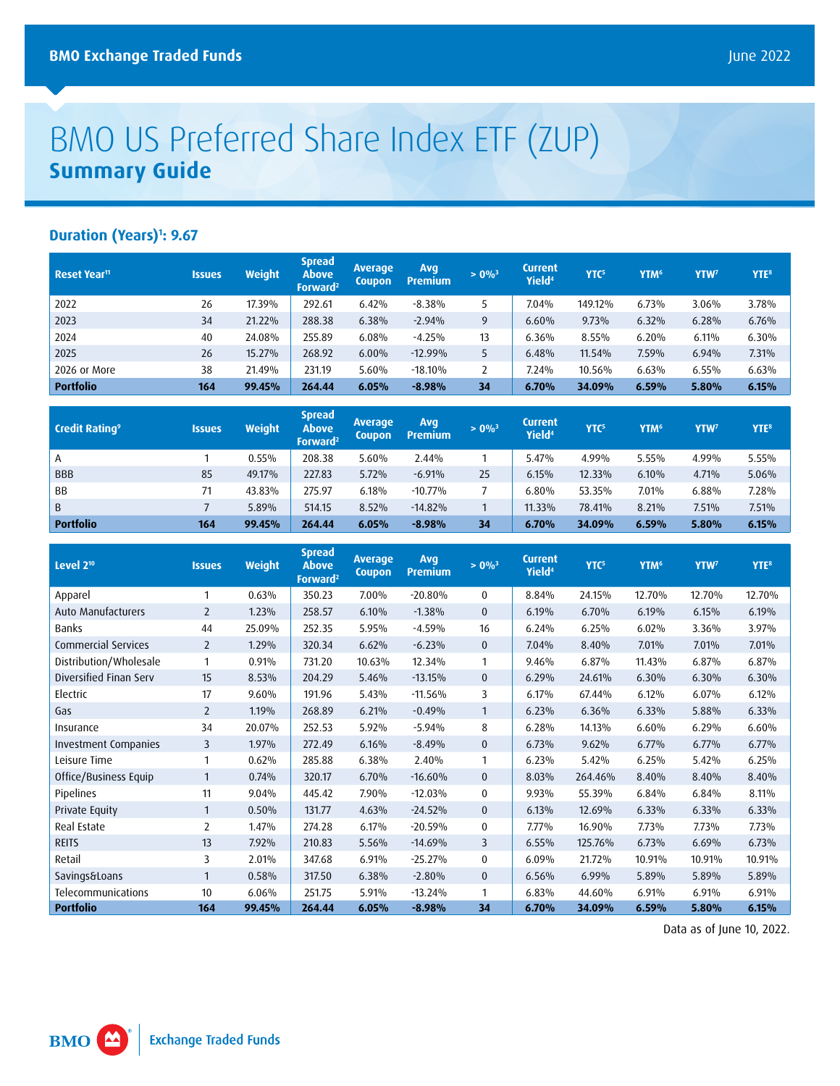## BMO US Preferred Share Index ETF (ZUP) **Summary Guide**

## **Duration (Years)1 : 9.67**

| Reset Year <sup>11</sup> | <b>Issues</b> | <b>Weight</b> | <b>Spread</b><br><b>Above</b><br>Forward <sup>2</sup> | <b>Average</b><br><b>Coupon</b> | Avg<br><b>Premium</b> | $> 0\%$ <sup>3</sup> | Current<br>Yield <sup>4</sup> | YTC <sup>5</sup> | YTM <sup>6</sup> | YTW <sup>7</sup> | YTE <sup>8</sup> |
|--------------------------|---------------|---------------|-------------------------------------------------------|---------------------------------|-----------------------|----------------------|-------------------------------|------------------|------------------|------------------|------------------|
| 2022                     | 26            | 17.39%        | 292.61                                                | 6.42%                           | $-8.38\%$             |                      | 7.04%                         | 149.12%          | 6.73%            | 3.06%            | 3.78%            |
| 2023                     | 34            | 21.22%        | 288.38                                                | 6.38%                           | $-2.94%$              | 9                    | 6.60%                         | 9.73%            | 6.32%            | 6.28%            | 6.76%            |
| 2024                     | 40            | 24.08%        | 255.89                                                | 6.08%                           | $-4.25%$              | 13                   | 6.36%                         | 8.55%            | 6.20%            | 6.11%            | 6.30%            |
| 2025                     | 26            | 15.27%        | 268.92                                                | 6.00%                           | $-12.99%$             |                      | 6.48%                         | 11.54%           | 7.59%            | 6.94%            | 7.31%            |
| 2026 or More             | 38            | 21.49%        | 231.19                                                | 5.60%                           | $-18.10%$             |                      | 7.24%                         | 10.56%           | 6.63%            | 6.55%            | 6.63%            |
| <b>Portfolio</b>         | 164           | 99.45%        | 264.44                                                | 6.05%                           | $-8.98%$              | 34                   | 6.70%                         | 34.09%           | 6.59%            | 5.80%            | 6.15%            |

| <b>Credit Rating</b> <sup>9</sup> | <b>Issues</b> | <b>Weight</b> | <b>Spread</b><br>Above<br>Forward <sup>2</sup> | <b>Average</b><br><b>Coupon</b> | Avg<br>Premium | $> 0\%$ <sup>3</sup> | <b>Current</b><br>Yield <sup>4</sup> | YTC <sup>5</sup> | YTM <sup>6</sup> | <b>YTW</b> | YTE <sup>8</sup> |
|-----------------------------------|---------------|---------------|------------------------------------------------|---------------------------------|----------------|----------------------|--------------------------------------|------------------|------------------|------------|------------------|
| A                                 |               | 0.55%         | 208.38                                         | 5.60%                           | 2.44%          |                      | 5.47%                                | 4.99%            | 5.55%            | 4.99%      | 5.55%            |
| <b>BBB</b>                        | 85            | 49.17%        | 227.83                                         | 5.72%                           | $-6.91%$       | 25                   | 6.15%                                | 12.33%           | 6.10%            | 4.71%      | 5.06%            |
| <b>BB</b>                         | 71            | 43.83%        | 275.97                                         | 6.18%                           | $-10.77%$      |                      | 6.80%                                | 53.35%           | 7.01%            | 6.88%      | 7.28%            |
| B                                 |               | 5.89%         | 514.15                                         | 8.52%                           | $-14.82%$      |                      | 11.33%                               | 78.41%           | 8.21%            | 7.51%      | 7.51%            |
| <b>Portfolio</b>                  | 164           | 99.45%        | 264.44                                         | 6.05%                           | $-8.98%$       | 34                   | 6.70%                                | 34.09%           | 6.59%            | 5.80%      | 6.15%            |

| Level 2 <sup>10</sup>       | <b>Issues</b>         | <b>Weight</b> | <b>Spread</b><br><b>Above</b><br>Forward <sup>2</sup> | <b>Average</b><br>Coupon | Avq<br><b>Premium</b> | $> 0\%$ <sup>3</sup> | <b>Current</b><br>Yield <sup>4</sup> | YTC <sup>5</sup> | YTM <sup>6</sup> | YTW <sup>7</sup> | YTE <sup>8</sup> |
|-----------------------------|-----------------------|---------------|-------------------------------------------------------|--------------------------|-----------------------|----------------------|--------------------------------------|------------------|------------------|------------------|------------------|
| Apparel                     |                       | 0.63%         | 350.23                                                | 7.00%                    | $-20.80%$             | $\mathbf 0$          | 8.84%                                | 24.15%           | 12.70%           | 12.70%           | 12.70%           |
| Auto Manufacturers          | $\mathbf{2}^{\prime}$ | 1.23%         | 258.57                                                | 6.10%                    | $-1.38%$              | $\mathbf{0}$         | 6.19%                                | 6.70%            | 6.19%            | 6.15%            | 6.19%            |
| Banks                       | 44                    | 25.09%        | 252.35                                                | 5.95%                    | $-4.59%$              | 16                   | 6.24%                                | 6.25%            | 6.02%            | 3.36%            | 3.97%            |
| Commercial Services         | $\overline{2}$        | 1.29%         | 320.34                                                | 6.62%                    | $-6.23%$              | $\mathbf 0$          | 7.04%                                | 8.40%            | 7.01%            | 7.01%            | 7.01%            |
| Distribution/Wholesale      | 1                     | 0.91%         | 731.20                                                | 10.63%                   | 12.34%                | 1                    | 9.46%                                | 6.87%            | 11.43%           | 6.87%            | 6.87%            |
| Diversified Finan Serv      | 15                    | 8.53%         | 204.29                                                | 5.46%                    | $-13.15%$             | $\bf{0}$             | 6.29%                                | 24.61%           | 6.30%            | 6.30%            | 6.30%            |
| Electric                    | 17                    | 9.60%         | 191.96                                                | 5.43%                    | $-11.56%$             | 3                    | 6.17%                                | 67.44%           | 6.12%            | 6.07%            | 6.12%            |
| Gas                         | $\overline{2}$        | 1.19%         | 268.89                                                | 6.21%                    | $-0.49%$              | 1                    | 6.23%                                | 6.36%            | 6.33%            | 5.88%            | 6.33%            |
| Insurance                   | 34                    | 20.07%        | 252.53                                                | 5.92%                    | $-5.94%$              | 8                    | 6.28%                                | 14.13%           | 6.60%            | 6.29%            | 6.60%            |
| <b>Investment Companies</b> | 3                     | 1.97%         | 272.49                                                | 6.16%                    | $-8.49%$              | $\mathbf{0}$         | 6.73%                                | 9.62%            | 6.77%            | 6.77%            | 6.77%            |
| Leisure Time                | 1                     | 0.62%         | 285.88                                                | 6.38%                    | 2.40%                 | 1                    | 6.23%                                | 5.42%            | 6.25%            | 5.42%            | 6.25%            |
| Office/Business Equip       | 1                     | 0.74%         | 320.17                                                | 6.70%                    | $-16.60%$             | $\mathbf{0}$         | 8.03%                                | 264.46%          | 8.40%            | 8.40%            | 8.40%            |
| Pipelines                   | 11                    | 9.04%         | 445.42                                                | 7.90%                    | $-12.03%$             | 0                    | 9.93%                                | 55.39%           | 6.84%            | 6.84%            | 8.11%            |
| Private Equity              | $\mathbf{1}$          | 0.50%         | 131.77                                                | 4.63%                    | $-24.52%$             | $\mathbf 0$          | 6.13%                                | 12.69%           | 6.33%            | 6.33%            | 6.33%            |
| Real Estate                 | 2                     | 1.47%         | 274.28                                                | 6.17%                    | $-20.59%$             | 0                    | 7.77%                                | 16.90%           | 7.73%            | 7.73%            | 7.73%            |
| <b>REITS</b>                | 13                    | 7.92%         | 210.83                                                | 5.56%                    | $-14.69%$             | 3                    | 6.55%                                | 125.76%          | 6.73%            | 6.69%            | 6.73%            |
| Retail                      | 3                     | 2.01%         | 347.68                                                | 6.91%                    | $-25.27%$             | 0                    | 6.09%                                | 21.72%           | 10.91%           | 10.91%           | 10.91%           |
| Savings&Loans               | $\mathbf{1}$          | 0.58%         | 317.50                                                | 6.38%                    | $-2.80%$              | $\mathbf{0}$         | 6.56%                                | 6.99%            | 5.89%            | 5.89%            | 5.89%            |
| Telecommunications          | 10                    | 6.06%         | 251.75                                                | 5.91%                    | $-13.24%$             | 1                    | 6.83%                                | 44.60%           | 6.91%            | 6.91%            | 6.91%            |
| <b>Portfolio</b>            | 164                   | 99.45%        | 264.44                                                | 6.05%                    | $-8.98%$              | 34                   | 6.70%                                | 34.09%           | 6.59%            | 5.80%            | 6.15%            |

Data as of June 10, 2022.